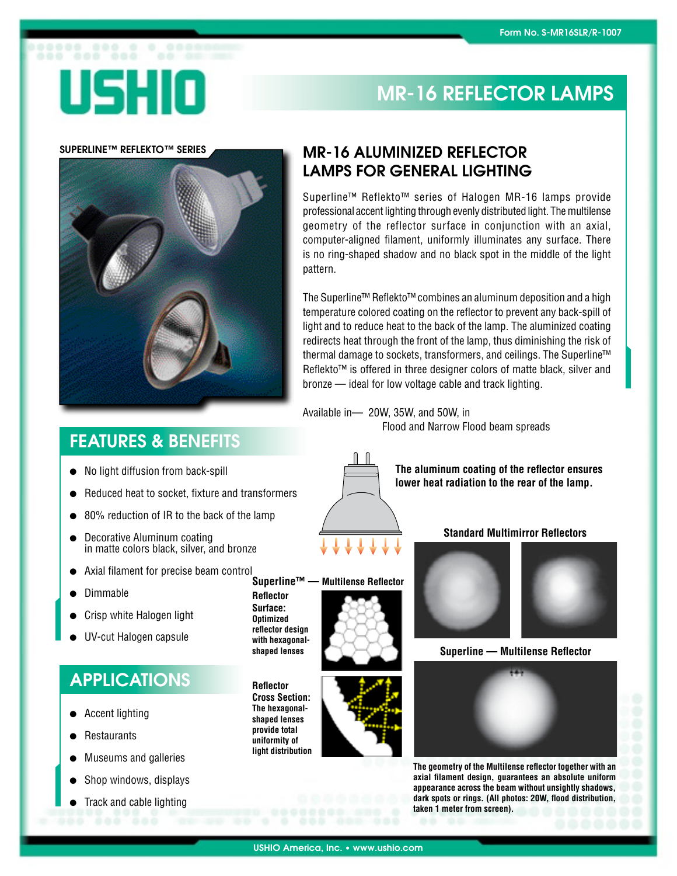# USHIO

## MR-16 REFLECTOR LAMPS

### SUPERLINE™ REFLEKTO™ SERIES

## MR-16 ALUMINIZED REFLECTOR LAMPS FOR GENERAL LIGHTING

Superline™ Reflekto™ series of Halogen MR-16 lamps provide professional accent lighting through evenly distributed light. Themultilense geometry of the reflector surface in conjunction with an axial, computer-aligned filament, uniformly illuminates any surface. There is no ring-shaped shadow and no black spot in the middle of the light pattern.

The Superline™ Reflekto™ combines an aluminum deposition and a high temperature colored coating on the reflector to prevent any back-spill of light and to reduce heat to the back of the lamp. The aluminized coating redirects heat through the front of the lamp, thus diminishing the risk of thermal damage to sockets, transformers, and ceilings. The Superline™ Reflekto™ is offered in three designer colors of matte black, silver and bronze — ideal for low voltage cable and track lighting.

Available in— 20W, 35W, and 50W, in Flood and Narrow Flood beam spreads



- No light diffusion from back-spill
- Reduced heat to socket, fixture and transformers
- 80% reduction of IR to the back of the lamp
- Decorative Aluminum coating in matte colors black, silver, and bronze
- Axial filament for precise beam control
- Dimmable
- **Crisp white Halogen light**
- UV-cut Halogen capsule

## APPLICATIONS

- Accent lighting
- Restaurants
- Museums and galleries
- Shop windows, displays
- Track and cable lighting

**Reflector Surface: Optimized reflector design with hexagonalshaped lenses**

**Reflector Cross Section: The hexagonalshaped lenses provide total uniformity of light distribution**





**Standard Multimirror Reflectors**

**Superline — Multilense Reflector**



**The geometry of the Multilense reflector together with an axial filament design, guarantees an absolute uniform appearance across the beam without unsightly shadows, dark spots or rings. (All photos: 20W, flood distribution, taken 1 meter from screen).**

**Superline™ — Multilense Reflector**





**The aluminum coating of the reflector ensures lower heat radiation to the rear of the lamp.**